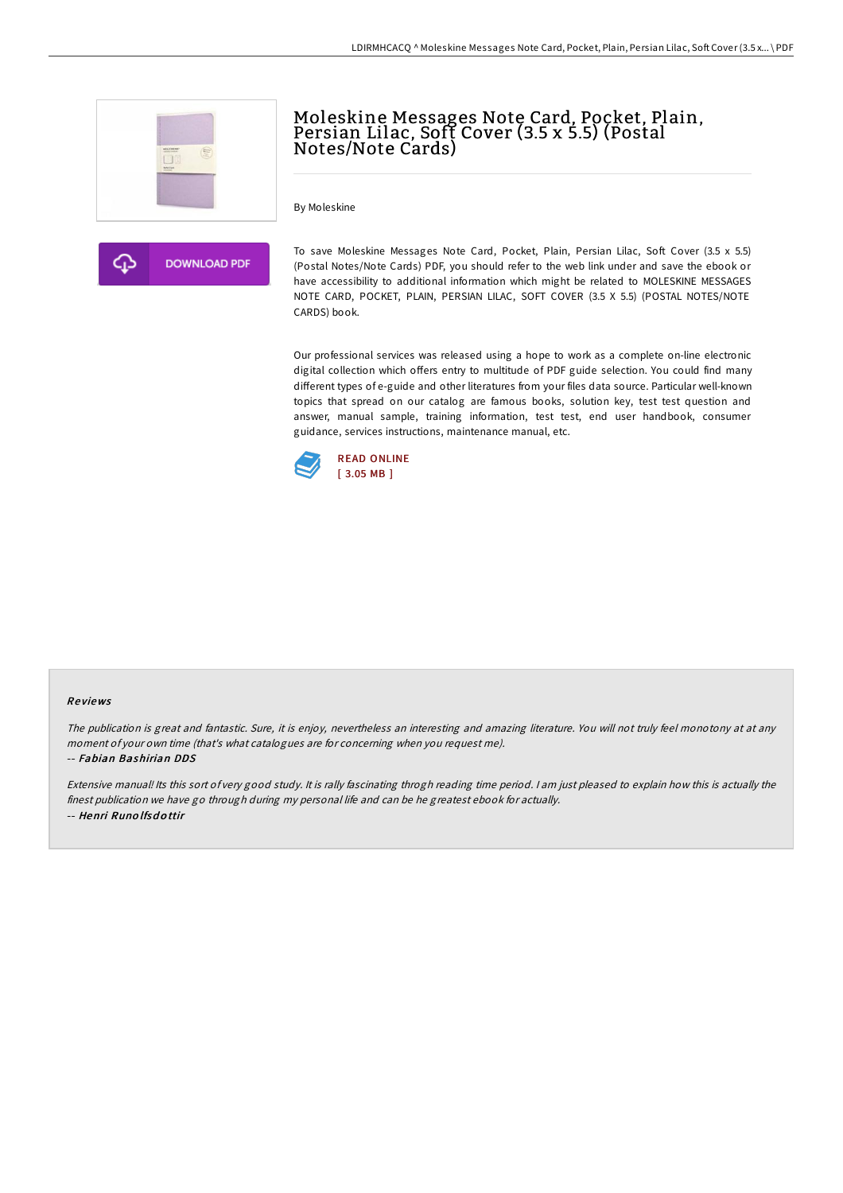





To save Moleskine Messages Note Card, Pocket, Plain, Persian Lilac, Soft Cover (3.5 x 5.5) (Postal Notes/Note Cards) PDF, you should refer to the web link under and save the ebook or have accessibility to additional information which might be related to MOLESKINE MESSAGES NOTE CARD, POCKET, PLAIN, PERSIAN LILAC, SOFT COVER (3.5 X 5.5) (POSTAL NOTES/NOTE CARDS) book.

Moleskine Messages Note Card, Pocket, Plain, Persian Lilac, Soft Cover (3.5 x 5.5) (Postal

Our professional services was released using a hope to work as a complete on-line electronic digital collection which offers entry to multitude of PDF guide selection. You could find many different types of e-guide and other literatures from your files data source. Particular well-known topics that spread on our catalog are famous books, solution key, test test question and answer, manual sample, training information, test test, end user handbook, consumer guidance, services instructions, maintenance manual, etc.



Notes/Note Cards)

## Re views

The publication is great and fantastic. Sure, it is enjoy, nevertheless an interesting and amazing literature. You will not truly feel monotony at at any moment of your own time (that's what catalogues are for concerning when you request me).

## -- Fabian Bashirian DDS

Extensive manual! Its this sort of very good study. It is rally fascinating throgh reading time period. <sup>I</sup> am just pleased to explain how this is actually the finest publication we have go through during my personal life and can be he greatest ebook for actually. -- Henri Runo lfsd <sup>o</sup> ttir